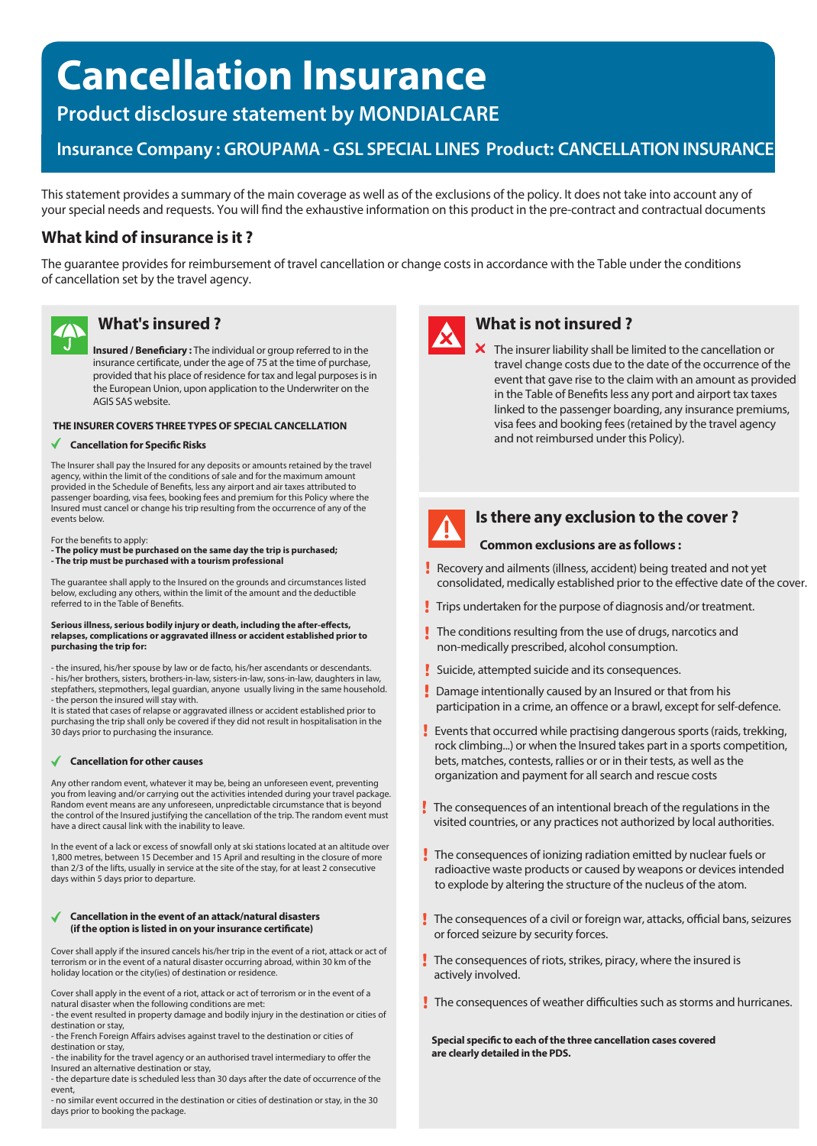# **Cancellation Insurance**

**Product disclosure statement by MONDIALCARE**

# **Insurance Company : GROUPAMA - GSL SPECIAL LINES Product: CANCELLATION INSURANCE**

This statement provides a summary of the main coverage as well as of the exclusions of the policy. It does not take into account any of your special needs and requests. You will find the exhaustive information on this product in the pre-contract and contractual documents

# **What kind of insurance is it ?**

The guarantee provides for reimbursement of travel cancellation or change costs in accordance with the Table under the conditions of cancellation set by the travel agency.



# **What's insured ?**

**Insured / Beneficiary:** The individual or group referred to in the insurance certificate, under the age of 75 at the time of purchase, provided that his place of residence for tax and legal purposes is in the European Union, upon application to the Underwriter on the AGIS SAS website.

#### **THE INSURER COVERS THREE TYPES OF SPECIAL CANCELLATION**

#### **Cancellation for Specific Risks**

The Insurer shall pay the Insured for any deposits or amounts retained by the travel agency, within the limit of the conditions of sale and for the maximum amount provided in the Schedule of Benefits, less any airport and air taxes attributed to passenger boarding, visa fees, booking fees and premium for this Policy where the Insured must cancel or change his trip resulting from the occurrence of any of the events below.

For the benefits to apply:

**- The policy must be purchased on the same day the trip is purchased; - The trip must be purchased with a tourism professional**

The guarantee shall apply to the Insured on the grounds and circumstances listed below, excluding any others, within the limit of the amount and the deductible referred to in the Table of Benefits.

#### Serious illness, serious bodily injury or death, including the after-effects, **relapses, complications or aggravated illness or accident established prior to purchasing the trip for:**

- the insured, his/her spouse by law or de facto, his/her ascendants or descendants. - his/her brothers, sisters, brothers-in-law, sisters-in-law, sons-in-law, daughters in law, stepfathers, stepmothers, legal guardian, anyone usually living in the same household. - the person the insured will stay with.

It is stated that cases of relapse or aggravated illness or accident established prior to purchasing the trip shall only be covered if they did not result in hospitalisation in the 30 days prior to purchasing the insurance.

#### **Cancellation for other causes**

Any other random event, whatever it may be, being an unforeseen event, preventing you from leaving and/or carrying out the activities intended during your travel package. Random event means are any unforeseen, unpredictable circumstance that is beyond the control of the Insured justifying the cancellation of the trip. The random event must have a direct causal link with the inability to leave.

In the event of a lack or excess of snowfall only at ski stations located at an altitude over 1,800 metres, between 15 December and 15 April and resulting in the closure of more than 2/3 of the lifts, usually in service at the site of the stay, for at least 2 consecutive days within 5 days prior to departure.

#### **Cancellation in the event of an attack/natural disasters** (if the option is listed in on your insurance certificate)

Cover shall apply if the insured cancels his/her trip in the event of a riot, attack or act of terrorism or in the event of a natural disaster occurring abroad, within 30 km of the holiday location or the city(ies) of destination or residence.

Cover shall apply in the event of a riot, attack or act of terrorism or in the event of a natural disaster when the following conditions are met:

- the event resulted in property damage and bodily injury in the destination or cities of destination or stay,

- the French Foreign Affairs advises against travel to the destination or cities of destination or stay,

- the inability for the travel agency or an authorised travel intermediary to offer the Insured an alternative destination or stay,

- the departure date is scheduled less than 30 days after the date of occurrence of the event,

- no similar event occurred in the destination or cities of destination or stay, in the 30 days prior to booking the package.



# **What is not insured ?**

 $\boldsymbol{\times}$  The insurer liability shall be limited to the cancellation or travel change costs due to the date of the occurrence of the event that gave rise to the claim with an amount as provided in the Table of Benefits less any port and airport tax taxes linked to the passenger boarding, any insurance premiums, visa fees and booking fees (retained by the travel agency and not reimbursed under this Policy).



# **Is there any exclusion to the cover ?**

### **Common exclusions are as follows :**

- Recovery and ailments (illness, accident) being treated and not yet consolidated, medically established prior to the effective date of the cover.
- Trips undertaken for the purpose of diagnosis and/or treatment.
- The conditions resulting from the use of drugs, narcotics and non-medically prescribed, alcohol consumption.
- Suicide, attempted suicide and its consequences.
- **Damage intentionally caused by an Insured or that from his** participation in a crime, an offence or a brawl, except for self-defence.
- Events that occurred while practising dangerous sports (raids, trekking, rock climbing...) or when the Insured takes part in a sports competition, bets, matches, contests, rallies or or in their tests, as well as the organization and payment for all search and rescue costs
- The consequences of an intentional breach of the regulations in the visited countries, or any practices not authorized by local authorities.
- The consequences of ionizing radiation emitted by nuclear fuels or radioactive waste products or caused by weapons or devices intended to explode by altering the structure of the nucleus of the atom.
- $\cdot$  The consequences of a civil or foreign war, attacks, official bans, seizures or forced seizure by security forces.
- $\cdot$  The consequences of riots, strikes, piracy, where the insured is actively involved.
- $\blacksquare$  The consequences of weather difficulties such as storms and hurricanes.

**Special specific to each of the three cancellation cases covered are clearly detailed in the PDS.**